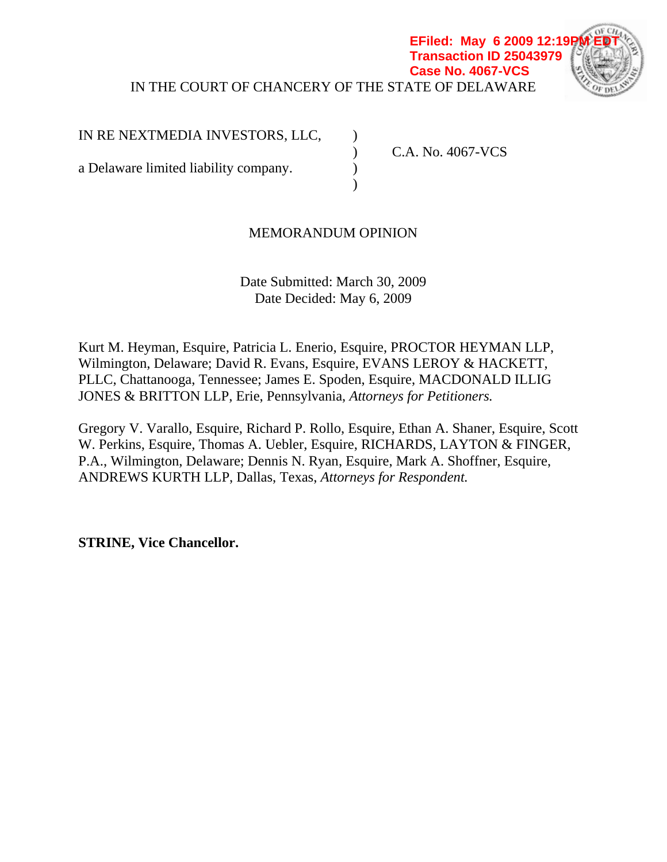### IN THE COURT OF CHANCERY OF THE STATE OF DELAWARE **EFiled: May 6 2009 12:19 Transaction ID 25043979 Case No. 4067-VCS**



IN RE NEXTMEDIA INVESTORS, LLC,

 $)$ 

a Delaware limited liability company.

) C.A. No. 4067-VCS

# MEMORANDUM OPINION

Date Submitted: March 30, 2009 Date Decided: May 6, 2009

Kurt M. Heyman, Esquire, Patricia L. Enerio, Esquire, PROCTOR HEYMAN LLP, Wilmington, Delaware; David R. Evans, Esquire, EVANS LEROY & HACKETT, PLLC, Chattanooga, Tennessee; James E. Spoden, Esquire, MACDONALD ILLIG JONES & BRITTON LLP, Erie, Pennsylvania, *Attorneys for Petitioners.* 

Gregory V. Varallo, Esquire, Richard P. Rollo, Esquire, Ethan A. Shaner, Esquire, Scott W. Perkins, Esquire, Thomas A. Uebler, Esquire, RICHARDS, LAYTON & FINGER, P.A., Wilmington, Delaware; Dennis N. Ryan, Esquire, Mark A. Shoffner, Esquire, ANDREWS KURTH LLP, Dallas, Texas, *Attorneys for Respondent.* 

**STRINE, Vice Chancellor.**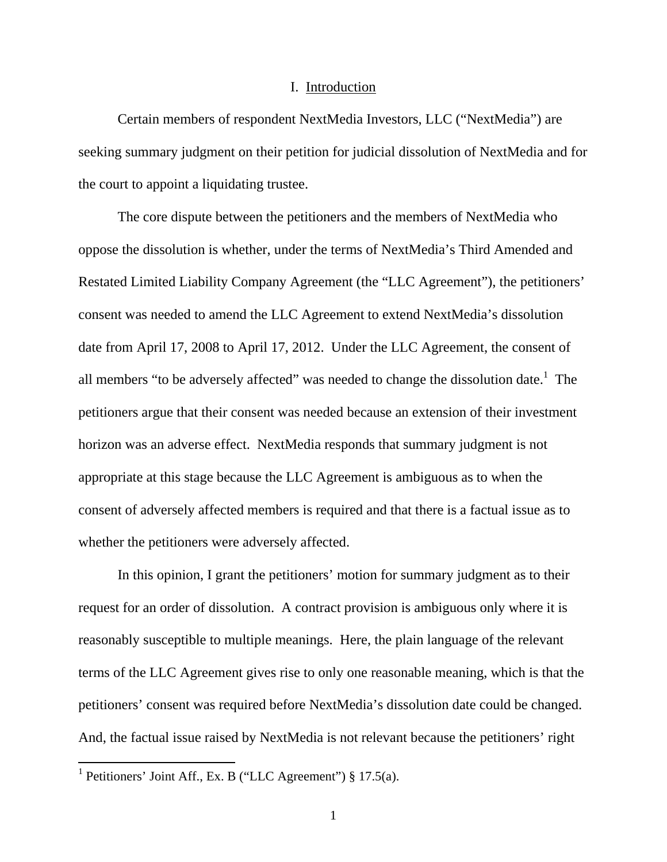#### I. Introduction

Certain members of respondent NextMedia Investors, LLC ("NextMedia") are seeking summary judgment on their petition for judicial dissolution of NextMedia and for the court to appoint a liquidating trustee.

The core dispute between the petitioners and the members of NextMedia who oppose the dissolution is whether, under the terms of NextMedia's Third Amended and Restated Limited Liability Company Agreement (the "LLC Agreement"), the petitioners' consent was needed to amend the LLC Agreement to extend NextMedia's dissolution date from April 17, 2008 to April 17, 2012. Under the LLC Agreement, the consent of all members "to be adversely affected" was needed to change the dissolution date.<sup>1</sup> The petitioners argue that their consent was needed because an extension of their investment horizon was an adverse effect. NextMedia responds that summary judgment is not appropriate at this stage because the LLC Agreement is ambiguous as to when the consent of adversely affected members is required and that there is a factual issue as to whether the petitioners were adversely affected.

In this opinion, I grant the petitioners' motion for summary judgment as to their request for an order of dissolution. A contract provision is ambiguous only where it is reasonably susceptible to multiple meanings. Here, the plain language of the relevant terms of the LLC Agreement gives rise to only one reasonable meaning, which is that the petitioners' consent was required before NextMedia's dissolution date could be changed. And, the factual issue raised by NextMedia is not relevant because the petitioners' right

<sup>&</sup>lt;sup>1</sup> Petitioners' Joint Aff., Ex. B ("LLC Agreement") § 17.5(a).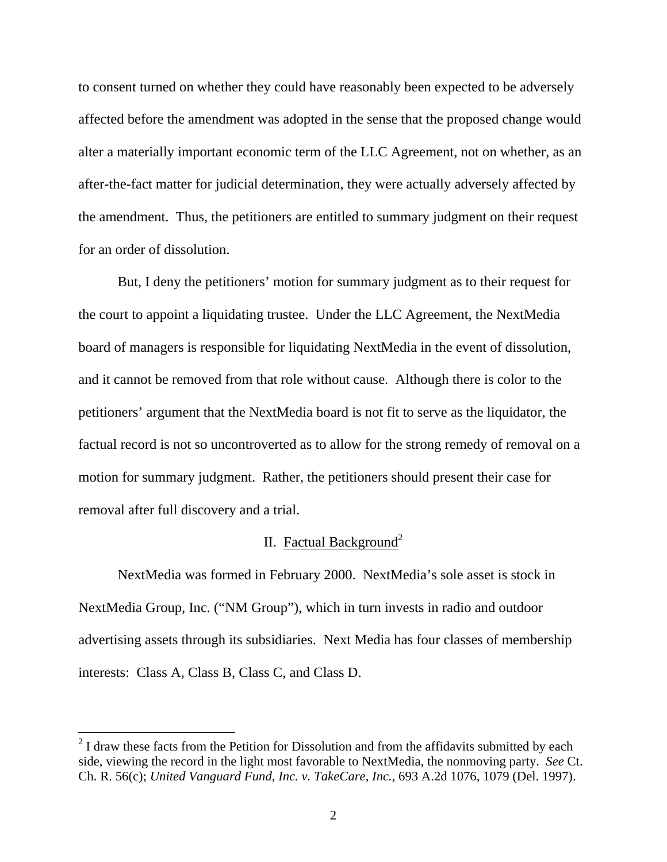to consent turned on whether they could have reasonably been expected to be adversely affected before the amendment was adopted in the sense that the proposed change would alter a materially important economic term of the LLC Agreement, not on whether, as an after-the-fact matter for judicial determination, they were actually adversely affected by the amendment. Thus, the petitioners are entitled to summary judgment on their request for an order of dissolution.

But, I deny the petitioners' motion for summary judgment as to their request for the court to appoint a liquidating trustee. Under the LLC Agreement, the NextMedia board of managers is responsible for liquidating NextMedia in the event of dissolution, and it cannot be removed from that role without cause. Although there is color to the petitioners' argument that the NextMedia board is not fit to serve as the liquidator, the factual record is not so uncontroverted as to allow for the strong remedy of removal on a motion for summary judgment. Rather, the petitioners should present their case for removal after full discovery and a trial.

## II. Factual Background<sup>2</sup>

 NextMedia was formed in February 2000. NextMedia's sole asset is stock in NextMedia Group, Inc. ("NM Group"), which in turn invests in radio and outdoor advertising assets through its subsidiaries. Next Media has four classes of membership interests: Class A, Class B, Class C, and Class D.

<sup>&</sup>lt;sup>2</sup> I draw these facts from the Petition for Dissolution and from the affidavits submitted by each side, viewing the record in the light most favorable to NextMedia, the nonmoving party. *See* Ct. Ch. R. 56(c); *United Vanguard Fund, Inc. v. TakeCare, Inc.*, 693 A.2d 1076, 1079 (Del. 1997).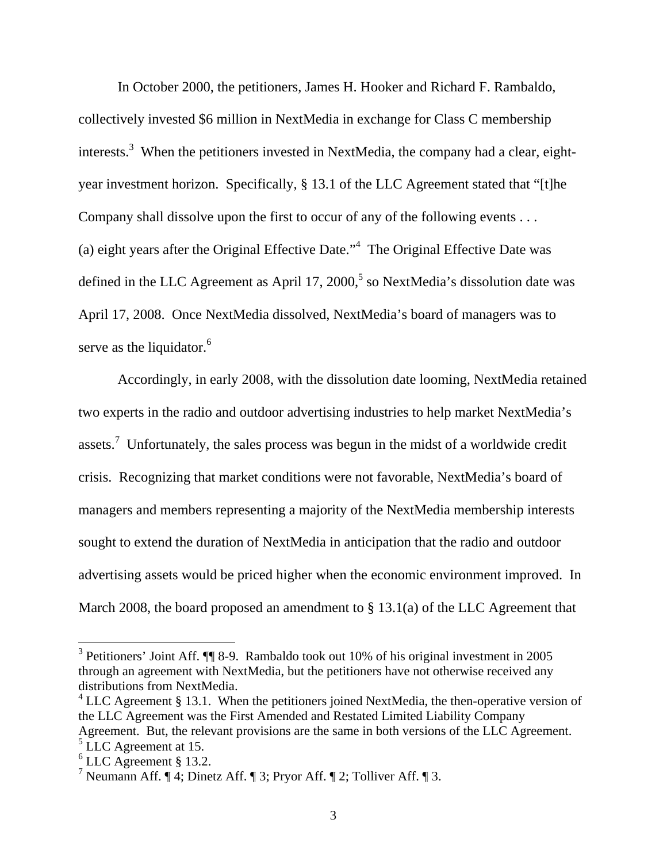In October 2000, the petitioners, James H. Hooker and Richard F. Rambaldo, collectively invested \$6 million in NextMedia in exchange for Class C membership interests.<sup>3</sup> When the petitioners invested in NextMedia, the company had a clear, eightyear investment horizon. Specifically, § 13.1 of the LLC Agreement stated that "[t]he Company shall dissolve upon the first to occur of any of the following events . . . (a) eight years after the Original Effective Date."<sup>4</sup> The Original Effective Date was defined in the LLC Agreement as April 17, 2000,<sup>5</sup> so NextMedia's dissolution date was April 17, 2008. Once NextMedia dissolved, NextMedia's board of managers was to serve as the liquidator.<sup>6</sup>

 Accordingly, in early 2008, with the dissolution date looming, NextMedia retained two experts in the radio and outdoor advertising industries to help market NextMedia's assets.<sup>7</sup> Unfortunately, the sales process was begun in the midst of a worldwide credit crisis. Recognizing that market conditions were not favorable, NextMedia's board of managers and members representing a majority of the NextMedia membership interests sought to extend the duration of NextMedia in anticipation that the radio and outdoor advertising assets would be priced higher when the economic environment improved. In March 2008, the board proposed an amendment to § 13.1(a) of the LLC Agreement that

<sup>&</sup>lt;sup>3</sup> Petitioners' Joint Aff. **[**[ 8-9. Rambaldo took out 10% of his original investment in 2005 through an agreement with NextMedia, but the petitioners have not otherwise received any distributions from NextMedia.

 $4$  LLC Agreement § 13.1. When the petitioners joined NextMedia, the then-operative version of the LLC Agreement was the First Amended and Restated Limited Liability Company Agreement. But, the relevant provisions are the same in both versions of the LLC Agreement.  $<sup>5</sup>$  LLC Agreement at 15.</sup>

 $<sup>6</sup>$  LLC Agreement § 13.2.</sup>

<sup>&</sup>lt;sup>7</sup> Neumann Aff.  $\P$  4; Dinetz Aff.  $\P$  3; Pryor Aff.  $\P$  2; Tolliver Aff.  $\P$  3.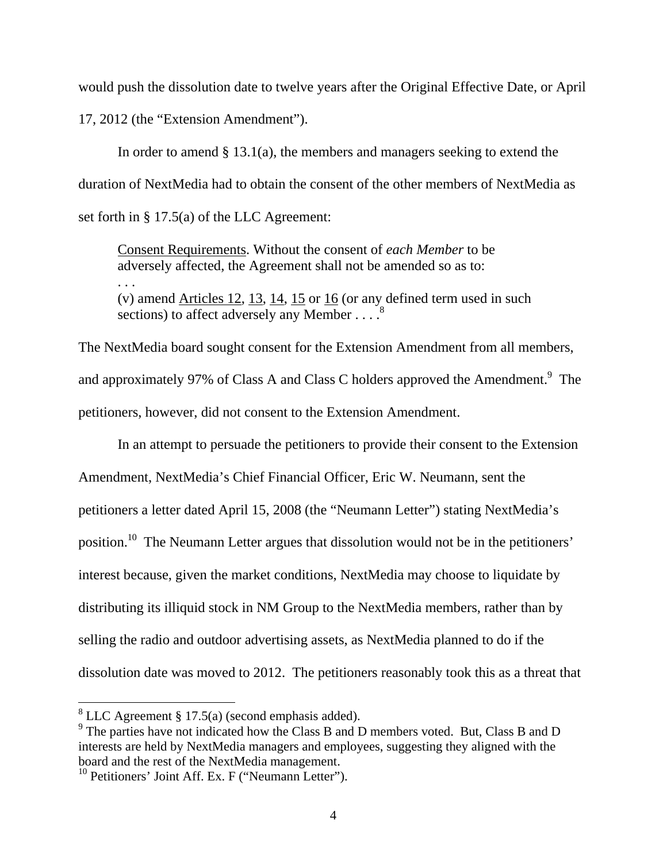would push the dissolution date to twelve years after the Original Effective Date, or April 17, 2012 (the "Extension Amendment").

In order to amend  $\S 13.1(a)$ , the members and managers seeking to extend the duration of NextMedia had to obtain the consent of the other members of NextMedia as set forth in § 17.5(a) of the LLC Agreement:

Consent Requirements. Without the consent of *each Member* to be adversely affected, the Agreement shall not be amended so as to:

(v) amend Articles 12, 13, 14, 15 or 16 (or any defined term used in such sections) to affect adversely any Member  $\dots$ <sup>8</sup>

The NextMedia board sought consent for the Extension Amendment from all members, and approximately 97% of Class A and Class C holders approved the Amendment.<sup>9</sup> The petitioners, however, did not consent to the Extension Amendment.

 In an attempt to persuade the petitioners to provide their consent to the Extension Amendment, NextMedia's Chief Financial Officer, Eric W. Neumann, sent the petitioners a letter dated April 15, 2008 (the "Neumann Letter") stating NextMedia's position.10 The Neumann Letter argues that dissolution would not be in the petitioners' interest because, given the market conditions, NextMedia may choose to liquidate by distributing its illiquid stock in NM Group to the NextMedia members, rather than by selling the radio and outdoor advertising assets, as NextMedia planned to do if the dissolution date was moved to 2012. The petitioners reasonably took this as a threat that

. . .

 $8$  LLC Agreement § 17.5(a) (second emphasis added).

<sup>&</sup>lt;sup>9</sup> The parties have not indicated how the Class B and D members voted. But, Class B and D interests are held by NextMedia managers and employees, suggesting they aligned with the board and the rest of the NextMedia management.

 $10$  Petitioners' Joint Aff. Ex. F ("Neumann Letter").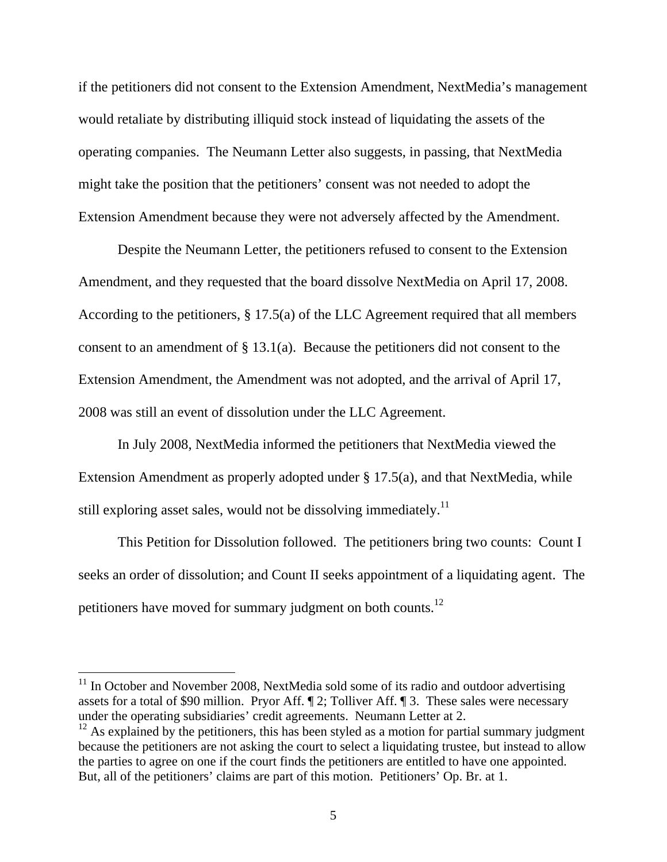if the petitioners did not consent to the Extension Amendment, NextMedia's management would retaliate by distributing illiquid stock instead of liquidating the assets of the operating companies. The Neumann Letter also suggests, in passing, that NextMedia might take the position that the petitioners' consent was not needed to adopt the Extension Amendment because they were not adversely affected by the Amendment.

 Despite the Neumann Letter, the petitioners refused to consent to the Extension Amendment, and they requested that the board dissolve NextMedia on April 17, 2008. According to the petitioners, § 17.5(a) of the LLC Agreement required that all members consent to an amendment of § 13.1(a). Because the petitioners did not consent to the Extension Amendment, the Amendment was not adopted, and the arrival of April 17, 2008 was still an event of dissolution under the LLC Agreement.

In July 2008, NextMedia informed the petitioners that NextMedia viewed the Extension Amendment as properly adopted under § 17.5(a), and that NextMedia, while still exploring asset sales, would not be dissolving immediately.<sup>11</sup>

This Petition for Dissolution followed. The petitioners bring two counts: Count I seeks an order of dissolution; and Count II seeks appointment of a liquidating agent. The petitioners have moved for summary judgment on both counts.<sup>12</sup>

 $11$  In October and November 2008, NextMedia sold some of its radio and outdoor advertising assets for a total of \$90 million. Pryor Aff. ¶ 2; Tolliver Aff. ¶ 3. These sales were necessary under the operating subsidiaries' credit agreements. Neumann Letter at 2.

 $12$  As explained by the petitioners, this has been styled as a motion for partial summary judgment because the petitioners are not asking the court to select a liquidating trustee, but instead to allow the parties to agree on one if the court finds the petitioners are entitled to have one appointed. But, all of the petitioners' claims are part of this motion. Petitioners' Op. Br. at 1.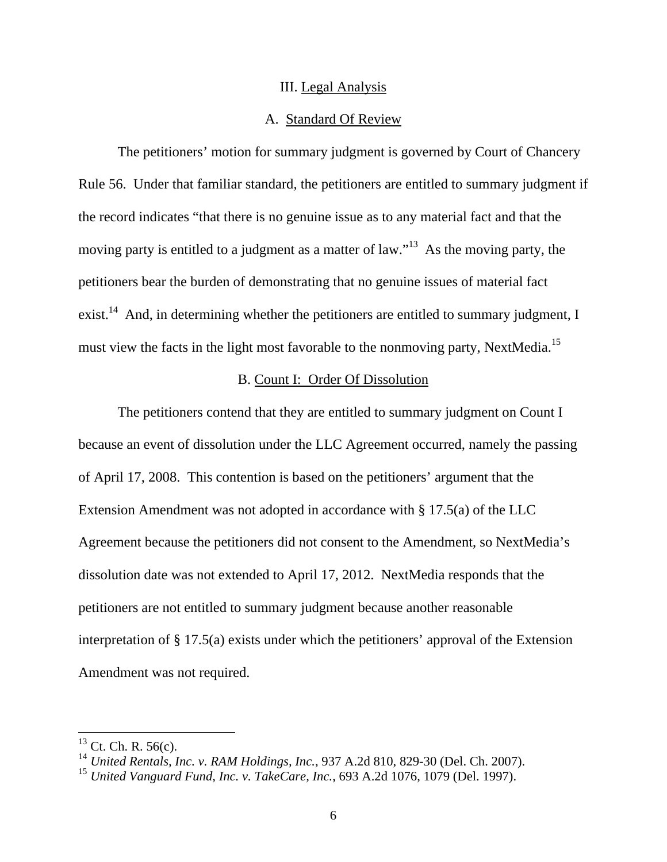#### III. Legal Analysis

### A. Standard Of Review

 The petitioners' motion for summary judgment is governed by Court of Chancery Rule 56. Under that familiar standard, the petitioners are entitled to summary judgment if the record indicates "that there is no genuine issue as to any material fact and that the moving party is entitled to a judgment as a matter of law."<sup>13</sup> As the moving party, the petitioners bear the burden of demonstrating that no genuine issues of material fact exist.<sup>14</sup> And, in determining whether the petitioners are entitled to summary judgment, I must view the facts in the light most favorable to the nonmoving party, NextMedia.<sup>15</sup>

### B. Count I: Order Of Dissolution

 The petitioners contend that they are entitled to summary judgment on Count I because an event of dissolution under the LLC Agreement occurred, namely the passing of April 17, 2008. This contention is based on the petitioners' argument that the Extension Amendment was not adopted in accordance with § 17.5(a) of the LLC Agreement because the petitioners did not consent to the Amendment, so NextMedia's dissolution date was not extended to April 17, 2012. NextMedia responds that the petitioners are not entitled to summary judgment because another reasonable interpretation of § 17.5(a) exists under which the petitioners' approval of the Extension Amendment was not required.

 $^{13}$  Ct. Ch. R. 56(c).

<sup>14</sup> *United Rentals, Inc. v. RAM Holdings, Inc.*, 937 A.2d 810, 829-30 (Del. Ch. 2007).

<sup>15</sup> *United Vanguard Fund, Inc. v. TakeCare, Inc.*, 693 A.2d 1076, 1079 (Del. 1997).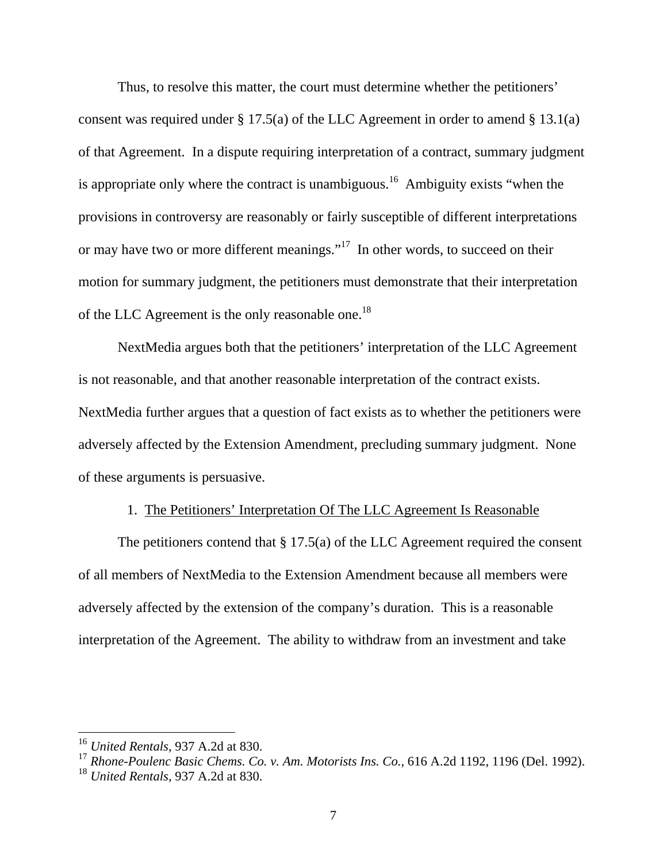Thus, to resolve this matter, the court must determine whether the petitioners' consent was required under  $\S 17.5(a)$  of the LLC Agreement in order to amend  $\S 13.1(a)$ of that Agreement. In a dispute requiring interpretation of a contract, summary judgment is appropriate only where the contract is unambiguous.<sup>16</sup> Ambiguity exists "when the provisions in controversy are reasonably or fairly susceptible of different interpretations or may have two or more different meanings."<sup>17</sup> In other words, to succeed on their motion for summary judgment, the petitioners must demonstrate that their interpretation of the LLC Agreement is the only reasonable one.<sup>18</sup>

NextMedia argues both that the petitioners' interpretation of the LLC Agreement is not reasonable, and that another reasonable interpretation of the contract exists. NextMedia further argues that a question of fact exists as to whether the petitioners were adversely affected by the Extension Amendment, precluding summary judgment. None of these arguments is persuasive.

## 1. The Petitioners' Interpretation Of The LLC Agreement Is Reasonable

The petitioners contend that  $\S 17.5(a)$  of the LLC Agreement required the consent of all members of NextMedia to the Extension Amendment because all members were adversely affected by the extension of the company's duration. This is a reasonable interpretation of the Agreement. The ability to withdraw from an investment and take

<sup>16</sup> *United Rentals*, 937 A.2d at 830.

<sup>17</sup> *Rhone-Poulenc Basic Chems. Co. v. Am. Motorists Ins. Co.,* 616 A.2d 1192, 1196 (Del. 1992).

<sup>18</sup> *United Rentals*, 937 A.2d at 830.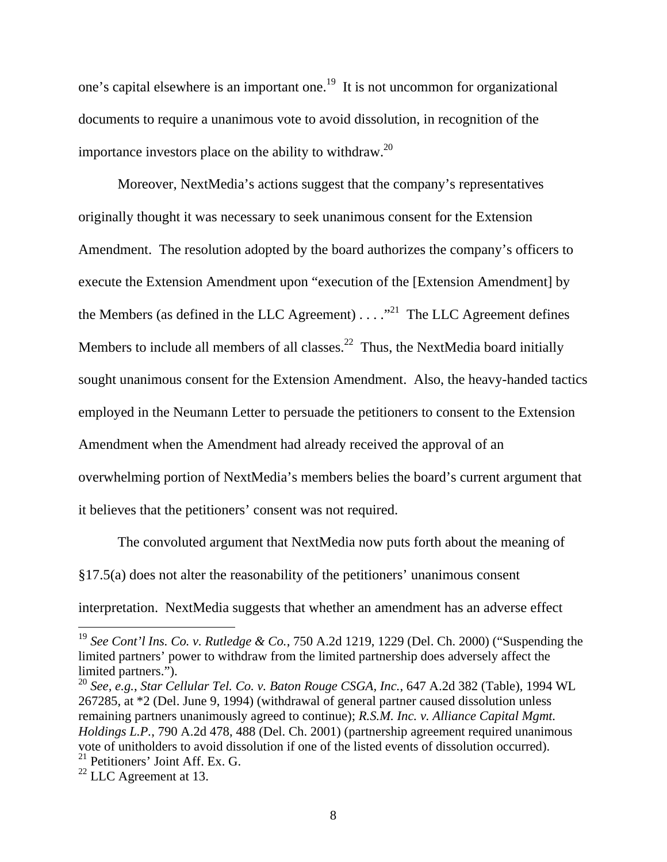one's capital elsewhere is an important one.19 It is not uncommon for organizational documents to require a unanimous vote to avoid dissolution, in recognition of the importance investors place on the ability to withdraw.<sup>20</sup>

Moreover, NextMedia's actions suggest that the company's representatives originally thought it was necessary to seek unanimous consent for the Extension Amendment. The resolution adopted by the board authorizes the company's officers to execute the Extension Amendment upon "execution of the [Extension Amendment] by the Members (as defined in the LLC Agreement)  $\dots$ <sup>21</sup> The LLC Agreement defines Members to include all members of all classes.<sup>22</sup> Thus, the NextMedia board initially sought unanimous consent for the Extension Amendment. Also, the heavy-handed tactics employed in the Neumann Letter to persuade the petitioners to consent to the Extension Amendment when the Amendment had already received the approval of an overwhelming portion of NextMedia's members belies the board's current argument that it believes that the petitioners' consent was not required.

 The convoluted argument that NextMedia now puts forth about the meaning of §17.5(a) does not alter the reasonability of the petitioners' unanimous consent interpretation. NextMedia suggests that whether an amendment has an adverse effect

<sup>19</sup> *See Cont'l Ins. Co. v. Rutledge & Co.*, 750 A.2d 1219, 1229 (Del. Ch. 2000) ("Suspending the limited partners' power to withdraw from the limited partnership does adversely affect the limited partners.").

<sup>20</sup> *See, e.g.*, *Star Cellular Tel. Co. v. Baton Rouge CSGA, Inc.*, 647 A.2d 382 (Table), 1994 WL 267285, at \*2 (Del. June 9, 1994) (withdrawal of general partner caused dissolution unless remaining partners unanimously agreed to continue); *R.S.M. Inc. v. Alliance Capital Mgmt. Holdings L.P.*, 790 A.2d 478, 488 (Del. Ch. 2001) (partnership agreement required unanimous vote of unitholders to avoid dissolution if one of the listed events of dissolution occurred).  $^{21}$  Petitioners' Joint Aff. Ex. G.

 $^{22}$  LLC Agreement at 13.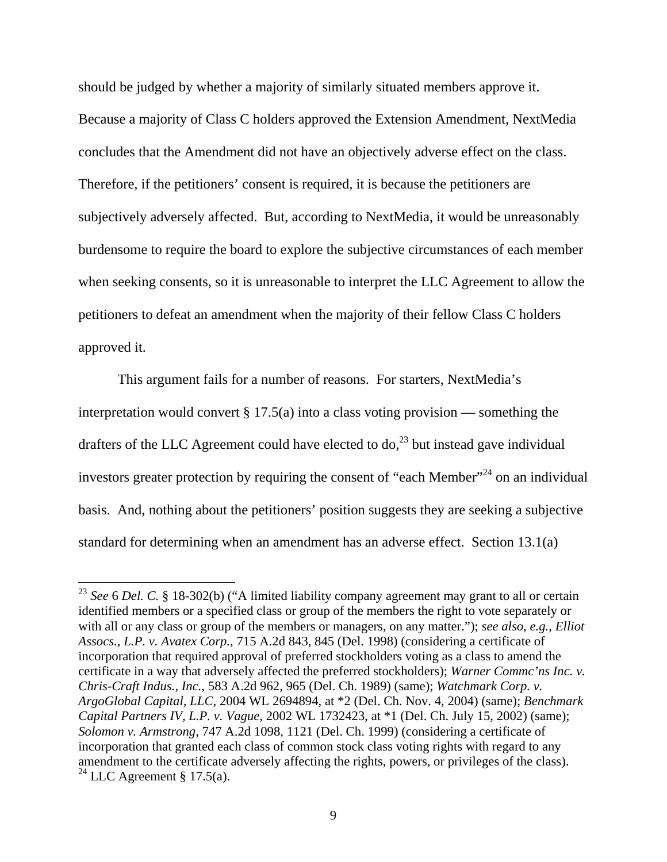should be judged by whether a majority of similarly situated members approve it. Because a majority of Class C holders approved the Extension Amendment, NextMedia concludes that the Amendment did not have an objectively adverse effect on the class. Therefore, if the petitioners' consent is required, it is because the petitioners are subjectively adversely affected. But, according to NextMedia, it would be unreasonably burdensome to require the board to explore the subjective circumstances of each member when seeking consents, so it is unreasonable to interpret the LLC Agreement to allow the petitioners to defeat an amendment when the majority of their fellow Class C holders approved it.

 This argument fails for a number of reasons. For starters, NextMedia's interpretation would convert  $\S 17.5(a)$  into a class voting provision — something the drafters of the LLC Agreement could have elected to  $\text{do}^{23}$  but instead gave individual investors greater protection by requiring the consent of "each Member"<sup>24</sup> on an individual basis. And, nothing about the petitioners' position suggests they are seeking a subjective standard for determining when an amendment has an adverse effect. Section 13.1(a)

<sup>23</sup> *See* 6 *Del. C.* § 18-302(b) ("A limited liability company agreement may grant to all or certain identified members or a specified class or group of the members the right to vote separately or with all or any class or group of the members or managers, on any matter."); *see also, e.g.*, *Elliot Assocs., L.P. v. Avatex Corp.*, 715 A.2d 843, 845 (Del. 1998) (considering a certificate of incorporation that required approval of preferred stockholders voting as a class to amend the certificate in a way that adversely affected the preferred stockholders); *Warner Commc'ns Inc. v. Chris-Craft Indus., Inc.*, 583 A.2d 962, 965 (Del. Ch. 1989) (same); *Watchmark Corp. v. ArgoGlobal Capital, LLC*, 2004 WL 2694894, at \*2 (Del. Ch. Nov. 4, 2004) (same); *Benchmark Capital Partners IV, L.P. v. Vague*, 2002 WL 1732423, at \*1 (Del. Ch. July 15, 2002) (same); *Solomon v. Armstrong*, 747 A.2d 1098, 1121 (Del. Ch. 1999) (considering a certificate of incorporation that granted each class of common stock class voting rights with regard to any amendment to the certificate adversely affecting the rights, powers, or privileges of the class). <sup>24</sup> LLC Agreement § 17.5(a).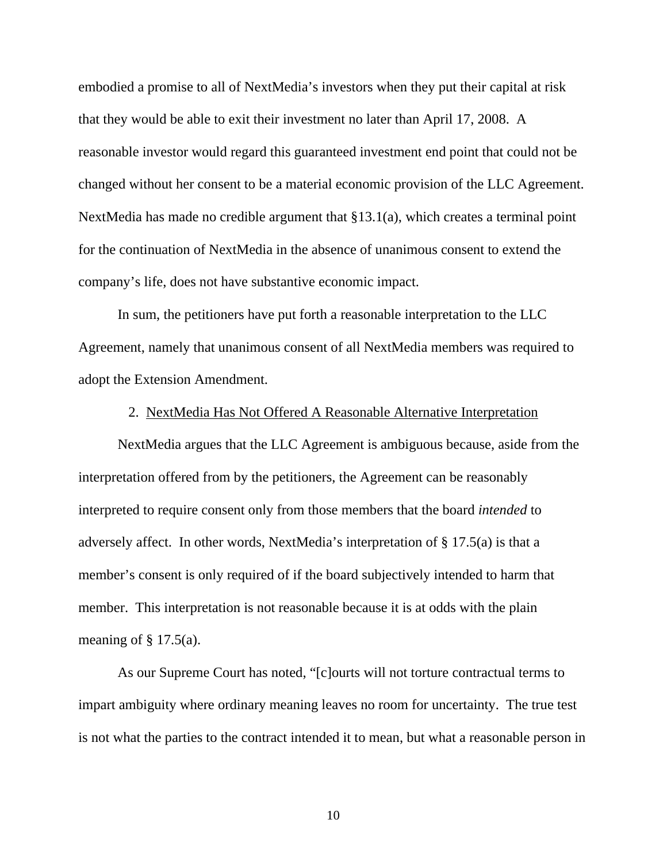embodied a promise to all of NextMedia's investors when they put their capital at risk that they would be able to exit their investment no later than April 17, 2008. A reasonable investor would regard this guaranteed investment end point that could not be changed without her consent to be a material economic provision of the LLC Agreement. NextMedia has made no credible argument that §13.1(a), which creates a terminal point for the continuation of NextMedia in the absence of unanimous consent to extend the company's life, does not have substantive economic impact.

 In sum, the petitioners have put forth a reasonable interpretation to the LLC Agreement, namely that unanimous consent of all NextMedia members was required to adopt the Extension Amendment.

### 2. NextMedia Has Not Offered A Reasonable Alternative Interpretation

 NextMedia argues that the LLC Agreement is ambiguous because, aside from the interpretation offered from by the petitioners, the Agreement can be reasonably interpreted to require consent only from those members that the board *intended* to adversely affect. In other words, NextMedia's interpretation of § 17.5(a) is that a member's consent is only required of if the board subjectively intended to harm that member. This interpretation is not reasonable because it is at odds with the plain meaning of  $\S$  17.5(a).

 As our Supreme Court has noted, "[c]ourts will not torture contractual terms to impart ambiguity where ordinary meaning leaves no room for uncertainty. The true test is not what the parties to the contract intended it to mean, but what a reasonable person in

10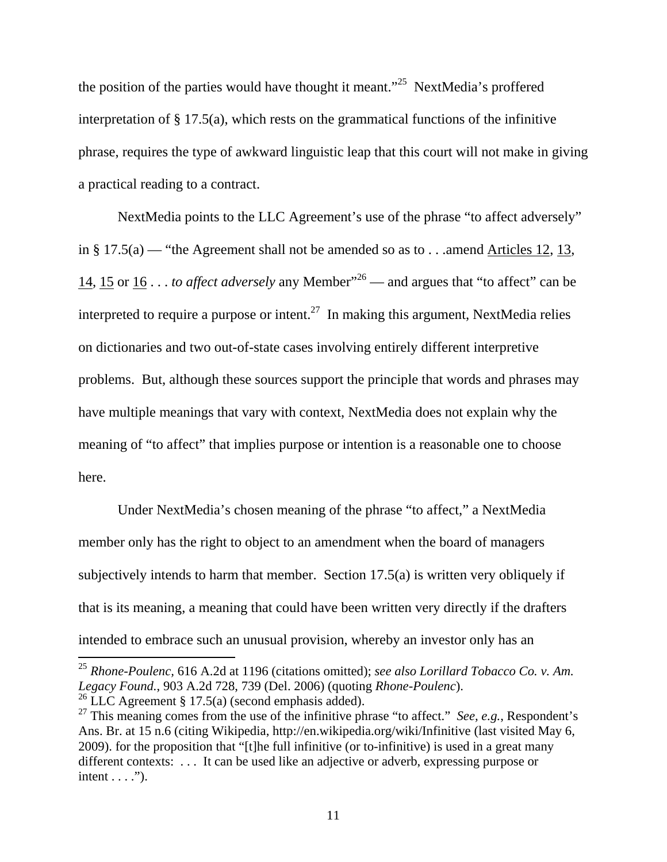the position of the parties would have thought it meant."25 NextMedia's proffered interpretation of § 17.5(a), which rests on the grammatical functions of the infinitive phrase, requires the type of awkward linguistic leap that this court will not make in giving a practical reading to a contract.

NextMedia points to the LLC Agreement's use of the phrase "to affect adversely" in § 17.5(a) — "the Agreement shall not be amended so as to  $\dots$  amend Articles 12, 13, 14, 15 or 16 . . . *to affect adversely* any Member"26 — and argues that "to affect" can be interpreted to require a purpose or intent.<sup>27</sup> In making this argument, NextMedia relies on dictionaries and two out-of-state cases involving entirely different interpretive problems. But, although these sources support the principle that words and phrases may have multiple meanings that vary with context, NextMedia does not explain why the meaning of "to affect" that implies purpose or intention is a reasonable one to choose here.

Under NextMedia's chosen meaning of the phrase "to affect," a NextMedia member only has the right to object to an amendment when the board of managers subjectively intends to harm that member. Section 17.5(a) is written very obliquely if that is its meaning, a meaning that could have been written very directly if the drafters intended to embrace such an unusual provision, whereby an investor only has an

<sup>25</sup> *Rhone-Poulenc,* 616 A.2d at 1196 (citations omitted); *see also Lorillard Tobacco Co. v. Am. Legacy Found.*, 903 A.2d 728, 739 (Del. 2006) (quoting *Rhone-Poulenc*). <sup>26</sup> LLC Agreement § 17.5(a) (second emphasis added).

<sup>&</sup>lt;sup>27</sup> This meaning comes from the use of the infinitive phrase "to affect." *See, e.g.*, Respondent's Ans. Br. at 15 n.6 (citing Wikipedia, http://en.wikipedia.org/wiki/Infinitive (last visited May 6, 2009). for the proposition that "[t]he full infinitive (or to-infinitive) is used in a great many

different contexts: . . . It can be used like an adjective or adverb, expressing purpose or intent  $\dots$ ").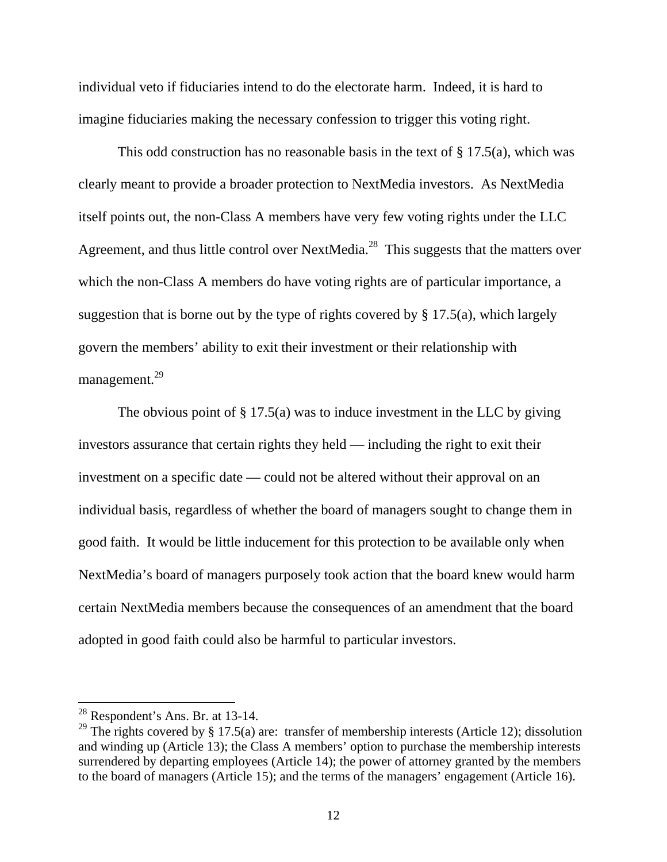individual veto if fiduciaries intend to do the electorate harm. Indeed, it is hard to imagine fiduciaries making the necessary confession to trigger this voting right.

This odd construction has no reasonable basis in the text of § 17.5(a), which was clearly meant to provide a broader protection to NextMedia investors. As NextMedia itself points out, the non-Class A members have very few voting rights under the LLC Agreement, and thus little control over NextMedia.<sup>28</sup> This suggests that the matters over which the non-Class A members do have voting rights are of particular importance, a suggestion that is borne out by the type of rights covered by  $\S 17.5(a)$ , which largely govern the members' ability to exit their investment or their relationship with management.<sup>29</sup>

The obvious point of  $\S 17.5(a)$  was to induce investment in the LLC by giving investors assurance that certain rights they held — including the right to exit their investment on a specific date — could not be altered without their approval on an individual basis, regardless of whether the board of managers sought to change them in good faith. It would be little inducement for this protection to be available only when NextMedia's board of managers purposely took action that the board knew would harm certain NextMedia members because the consequences of an amendment that the board adopted in good faith could also be harmful to particular investors.

 $28$  Respondent's Ans. Br. at 13-14.

<sup>&</sup>lt;sup>29</sup> The rights covered by § 17.5(a) are: transfer of membership interests (Article 12); dissolution and winding up (Article 13); the Class A members' option to purchase the membership interests surrendered by departing employees (Article 14); the power of attorney granted by the members to the board of managers (Article 15); and the terms of the managers' engagement (Article 16).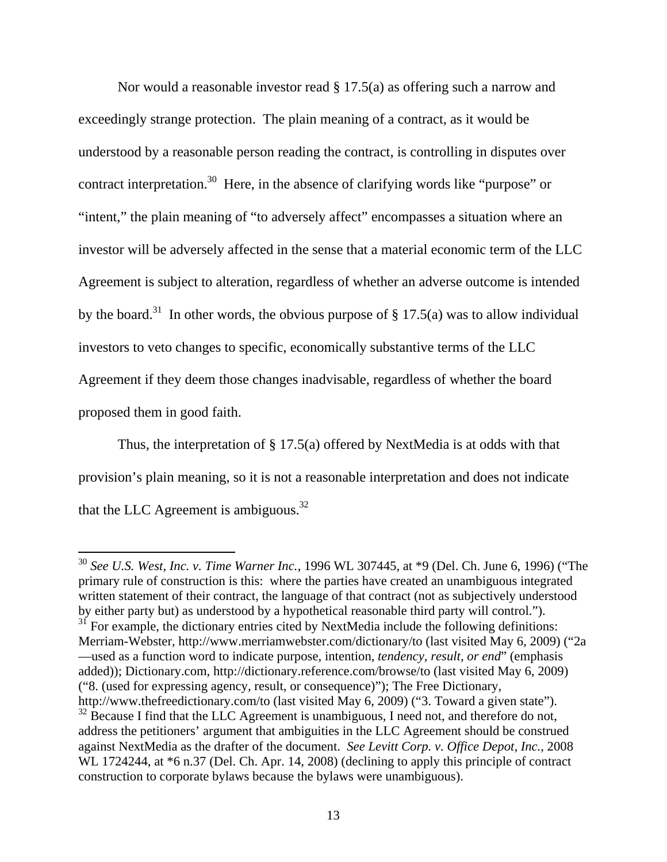Nor would a reasonable investor read  $\S 17.5(a)$  as offering such a narrow and exceedingly strange protection. The plain meaning of a contract, as it would be understood by a reasonable person reading the contract, is controlling in disputes over contract interpretation.<sup>30</sup> Here, in the absence of clarifying words like "purpose" or "intent," the plain meaning of "to adversely affect" encompasses a situation where an investor will be adversely affected in the sense that a material economic term of the LLC Agreement is subject to alteration, regardless of whether an adverse outcome is intended by the board.<sup>31</sup> In other words, the obvious purpose of  $\S 17.5(a)$  was to allow individual investors to veto changes to specific, economically substantive terms of the LLC Agreement if they deem those changes inadvisable, regardless of whether the board proposed them in good faith.

Thus, the interpretation of § 17.5(a) offered by NextMedia is at odds with that provision's plain meaning, so it is not a reasonable interpretation and does not indicate that the LLC Agreement is ambiguous.<sup>32</sup>

 $\overline{a}$ <sup>30</sup> *See U.S. West, Inc. v. Time Warner Inc.*, 1996 WL 307445, at \*9 (Del. Ch. June 6, 1996) ("The primary rule of construction is this: where the parties have created an unambiguous integrated written statement of their contract, the language of that contract (not as subjectively understood by either party but) as understood by a hypothetical reasonable third party will control."). <sup>31</sup> For example, the dictionary entries cited by NextMedia include the following definitions: Merriam-Webster, http://www.merriamwebster.com/dictionary/to (last visited May 6, 2009) ("2a —used as a function word to indicate purpose, intention, *tendency, result, or end*" (emphasis added)); Dictionary.com, http://dictionary.reference.com/browse/to (last visited May 6, 2009) ("8. (used for expressing agency, result, or consequence)"); The Free Dictionary, http://www.thefreedictionary.com/to (last visited May 6, 2009) ("3. Toward a given state").

 $32$  Because I find that the LLC Agreement is unambiguous, I need not, and therefore do not, address the petitioners' argument that ambiguities in the LLC Agreement should be construed against NextMedia as the drafter of the document. *See Levitt Corp. v. Office Depot, Inc.*, 2008 WL 1724244, at  $*6$  n.37 (Del. Ch. Apr. 14, 2008) (declining to apply this principle of contract construction to corporate bylaws because the bylaws were unambiguous).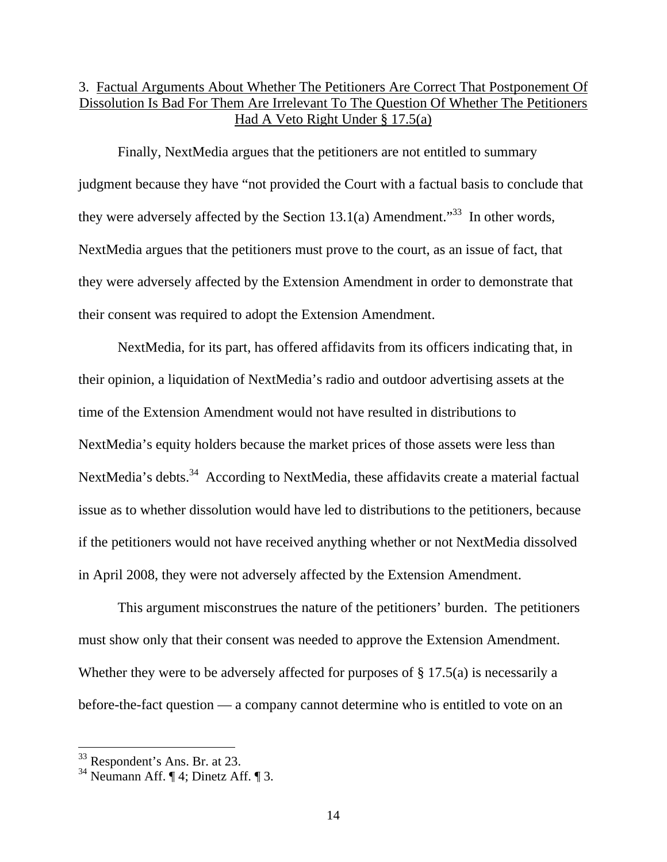### 3. Factual Arguments About Whether The Petitioners Are Correct That Postponement Of Dissolution Is Bad For Them Are Irrelevant To The Question Of Whether The Petitioners Had A Veto Right Under § 17.5(a)

 Finally, NextMedia argues that the petitioners are not entitled to summary judgment because they have "not provided the Court with a factual basis to conclude that they were adversely affected by the Section 13.1(a) Amendment.<sup>33</sup> In other words, NextMedia argues that the petitioners must prove to the court, as an issue of fact, that they were adversely affected by the Extension Amendment in order to demonstrate that their consent was required to adopt the Extension Amendment.

NextMedia, for its part, has offered affidavits from its officers indicating that, in their opinion, a liquidation of NextMedia's radio and outdoor advertising assets at the time of the Extension Amendment would not have resulted in distributions to NextMedia's equity holders because the market prices of those assets were less than NextMedia's debts.<sup>34</sup> According to NextMedia, these affidavits create a material factual issue as to whether dissolution would have led to distributions to the petitioners, because if the petitioners would not have received anything whether or not NextMedia dissolved in April 2008, they were not adversely affected by the Extension Amendment.

This argument misconstrues the nature of the petitioners' burden. The petitioners must show only that their consent was needed to approve the Extension Amendment. Whether they were to be adversely affected for purposes of § 17.5(a) is necessarily a before-the-fact question — a company cannot determine who is entitled to vote on an

<sup>33</sup> Respondent's Ans. Br. at 23.

 $34$  Neumann Aff. ¶ 4; Dinetz Aff. ¶ 3.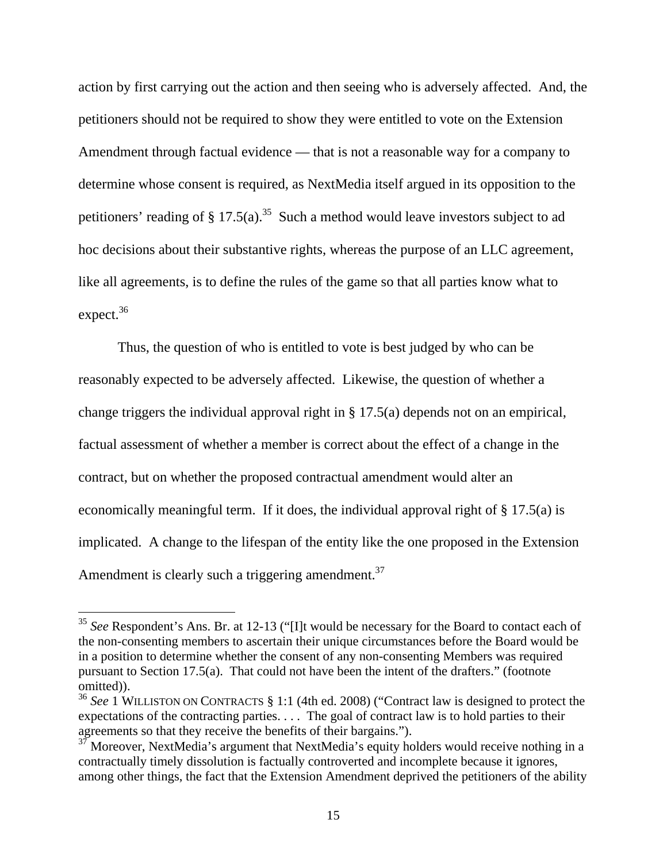action by first carrying out the action and then seeing who is adversely affected. And, the petitioners should not be required to show they were entitled to vote on the Extension Amendment through factual evidence — that is not a reasonable way for a company to determine whose consent is required, as NextMedia itself argued in its opposition to the petitioners' reading of § 17.5(a).<sup>35</sup> Such a method would leave investors subject to ad hoc decisions about their substantive rights, whereas the purpose of an LLC agreement, like all agreements, is to define the rules of the game so that all parties know what to expect.<sup>36</sup>

Thus, the question of who is entitled to vote is best judged by who can be reasonably expected to be adversely affected. Likewise, the question of whether a change triggers the individual approval right in § 17.5(a) depends not on an empirical, factual assessment of whether a member is correct about the effect of a change in the contract, but on whether the proposed contractual amendment would alter an economically meaningful term. If it does, the individual approval right of § 17.5(a) is implicated. A change to the lifespan of the entity like the one proposed in the Extension Amendment is clearly such a triggering amendment.<sup>37</sup>

<sup>35</sup> *See* Respondent's Ans. Br. at 12-13 ("[I]t would be necessary for the Board to contact each of the non-consenting members to ascertain their unique circumstances before the Board would be in a position to determine whether the consent of any non-consenting Members was required pursuant to Section 17.5(a). That could not have been the intent of the drafters." (footnote omitted)).

<sup>36</sup> *See* 1 WILLISTON ON CONTRACTS § 1:1 (4th ed. 2008) ("Contract law is designed to protect the expectations of the contracting parties. . . . The goal of contract law is to hold parties to their agreements so that they receive the benefits of their bargains.").

<sup>&</sup>lt;sup>37</sup> Moreover, NextMedia's argument that NextMedia's equity holders would receive nothing in a contractually timely dissolution is factually controverted and incomplete because it ignores, among other things, the fact that the Extension Amendment deprived the petitioners of the ability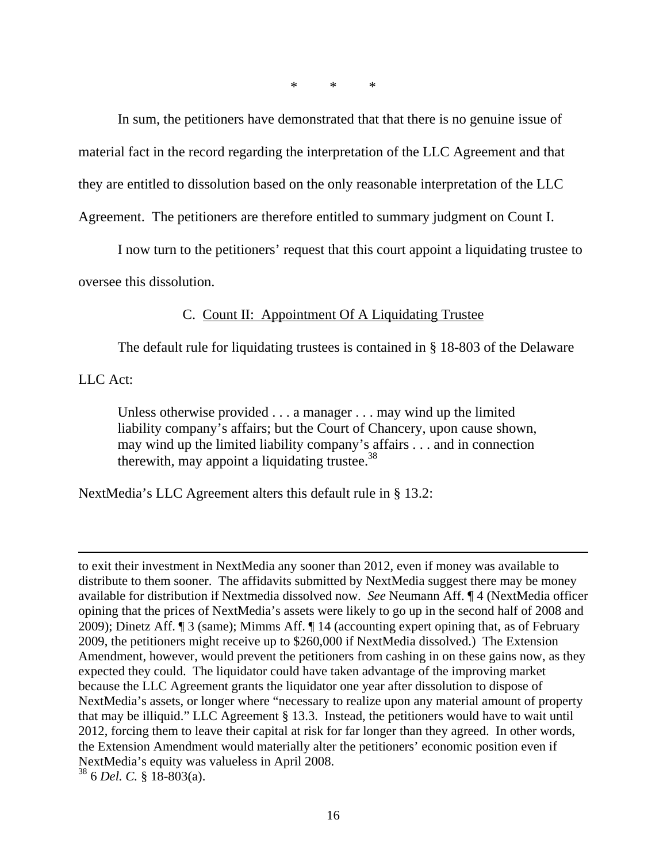\* \* \*

 In sum, the petitioners have demonstrated that that there is no genuine issue of material fact in the record regarding the interpretation of the LLC Agreement and that they are entitled to dissolution based on the only reasonable interpretation of the LLC Agreement. The petitioners are therefore entitled to summary judgment on Count I.

 I now turn to the petitioners' request that this court appoint a liquidating trustee to oversee this dissolution.

C. Count II: Appointment Of A Liquidating Trustee

The default rule for liquidating trustees is contained in § 18-803 of the Delaware

LLC Act:

 $\overline{a}$ 

Unless otherwise provided . . . a manager . . . may wind up the limited liability company's affairs; but the Court of Chancery, upon cause shown, may wind up the limited liability company's affairs . . . and in connection therewith, may appoint a liquidating trustee.<sup>38</sup>

NextMedia's LLC Agreement alters this default rule in § 13.2:

to exit their investment in NextMedia any sooner than 2012, even if money was available to distribute to them sooner. The affidavits submitted by NextMedia suggest there may be money available for distribution if Nextmedia dissolved now. *See* Neumann Aff. ¶ 4 (NextMedia officer opining that the prices of NextMedia's assets were likely to go up in the second half of 2008 and 2009); Dinetz Aff. ¶ 3 (same); Mimms Aff. ¶ 14 (accounting expert opining that, as of February 2009, the petitioners might receive up to \$260,000 if NextMedia dissolved.) The Extension Amendment, however, would prevent the petitioners from cashing in on these gains now, as they expected they could. The liquidator could have taken advantage of the improving market because the LLC Agreement grants the liquidator one year after dissolution to dispose of NextMedia's assets, or longer where "necessary to realize upon any material amount of property that may be illiquid." LLC Agreement § 13.3. Instead, the petitioners would have to wait until 2012, forcing them to leave their capital at risk for far longer than they agreed. In other words, the Extension Amendment would materially alter the petitioners' economic position even if NextMedia's equity was valueless in April 2008. 38 6 *Del. C.* § 18-803(a).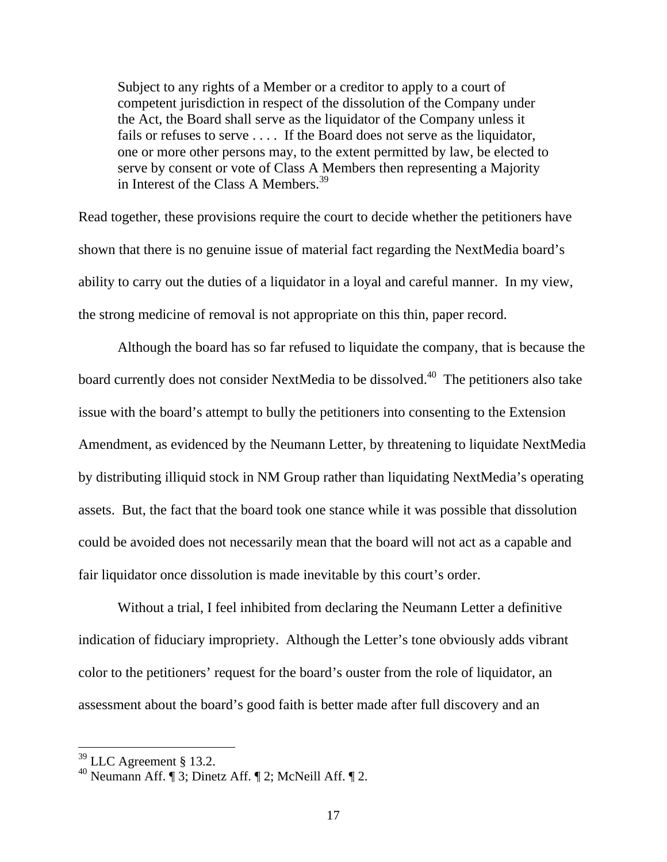Subject to any rights of a Member or a creditor to apply to a court of competent jurisdiction in respect of the dissolution of the Company under the Act, the Board shall serve as the liquidator of the Company unless it fails or refuses to serve .... If the Board does not serve as the liquidator, one or more other persons may, to the extent permitted by law, be elected to serve by consent or vote of Class A Members then representing a Majority in Interest of the Class A Members.<sup>39</sup>

Read together, these provisions require the court to decide whether the petitioners have shown that there is no genuine issue of material fact regarding the NextMedia board's ability to carry out the duties of a liquidator in a loyal and careful manner. In my view, the strong medicine of removal is not appropriate on this thin, paper record.

Although the board has so far refused to liquidate the company, that is because the board currently does not consider NextMedia to be dissolved.<sup>40</sup> The petitioners also take issue with the board's attempt to bully the petitioners into consenting to the Extension Amendment, as evidenced by the Neumann Letter, by threatening to liquidate NextMedia by distributing illiquid stock in NM Group rather than liquidating NextMedia's operating assets. But, the fact that the board took one stance while it was possible that dissolution could be avoided does not necessarily mean that the board will not act as a capable and fair liquidator once dissolution is made inevitable by this court's order.

Without a trial, I feel inhibited from declaring the Neumann Letter a definitive indication of fiduciary impropriety. Although the Letter's tone obviously adds vibrant color to the petitioners' request for the board's ouster from the role of liquidator, an assessment about the board's good faith is better made after full discovery and an

 $39$  LLC Agreement § 13.2.

<sup>&</sup>lt;sup>40</sup> Neumann Aff. ¶ 3; Dinetz Aff. ¶ 2; McNeill Aff. ¶ 2.